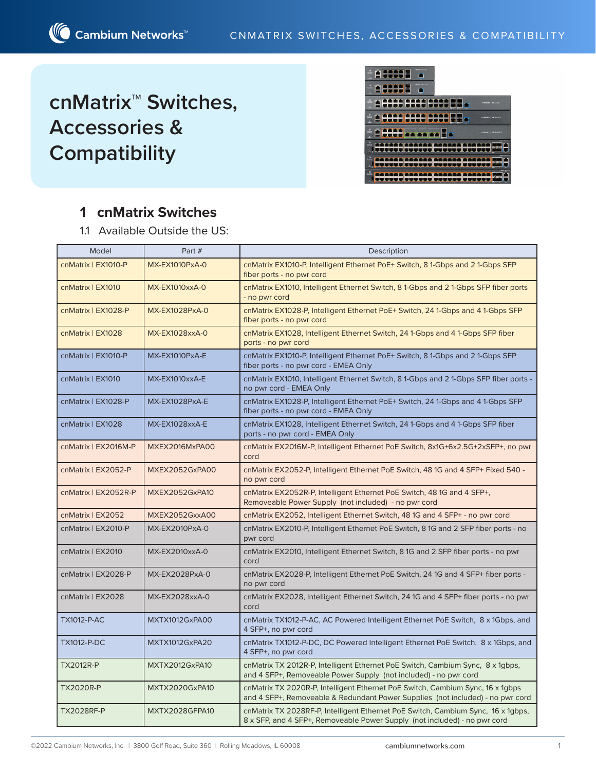# **cnMatrix™ Switches, Accessories & Compatibility**



## **1 cnMatrix Switches**

1.1 Available Outside the US:

| Model                | Part #                | Description                                                                                                                                                      |  |  |  |  |
|----------------------|-----------------------|------------------------------------------------------------------------------------------------------------------------------------------------------------------|--|--|--|--|
| cnMatrix   EX1010-P  | <b>MX-EX1010PxA-0</b> | cnMatrix EX1010-P, Intelligent Ethernet PoE+ Switch, 81-Gbps and 21-Gbps SFP<br>fiber ports - no pwr cord                                                        |  |  |  |  |
| cnMatrix   EX1010    | <b>MX-EX1010xxA-0</b> | cnMatrix EX1010, Intelligent Ethernet Switch, 8 1-Gbps and 2 1-Gbps SFP fiber ports<br>- no pwr cord                                                             |  |  |  |  |
| cnMatrix   EX1028-P  | MX-EX1028PxA-0        | cnMatrix EX1028-P, Intelligent Ethernet PoE+ Switch, 24 1-Gbps and 4 1-Gbps SFP<br>fiber ports - no pwr cord                                                     |  |  |  |  |
| cnMatrix   EX1028    | MX-EX1028xxA-0        | cnMatrix EX1028, Intelligent Ethernet Switch, 24 1-Gbps and 4 1-Gbps SFP fiber<br>ports - no pwr cord                                                            |  |  |  |  |
| cnMatrix   EX1010-P  | MX-EX1010PxA-E        | cnMatrix EX1010-P, Intelligent Ethernet PoE+ Switch, 8 1-Gbps and 2 1-Gbps SFP<br>fiber ports - no pwr cord - EMEA Only                                          |  |  |  |  |
| cnMatrix   EX1010    | MX-EX1010xxA-E        | cnMatrix EX1010, Intelligent Ethernet Switch, 8 1-Gbps and 2 1-Gbps SFP fiber ports -<br>no pwr cord - EMEA Only                                                 |  |  |  |  |
| cnMatrix   EX1028-P  | MX-EX1028PxA-E        | cnMatrix EX1028-P, Intelligent Ethernet PoE+ Switch, 24 1-Gbps and 4 1-Gbps SFP<br>fiber ports - no pwr cord - EMEA Only                                         |  |  |  |  |
| cnMatrix   EX1028    | MX-EX1028xxA-E        | cnMatrix EX1028, Intelligent Ethernet Switch, 24 1-Gbps and 4 1-Gbps SFP fiber<br>ports - no pwr cord - EMEA Only                                                |  |  |  |  |
| cnMatrix   EX2016M-P | MXEX2016MxPA00        | cnMatrix EX2016M-P, Intelligent Ethernet PoE Switch, 8x1G+6x2.5G+2xSFP+, no pwr<br>cord                                                                          |  |  |  |  |
| cnMatrix   EX2052-P  | MXEX2052GxPA00        | cnMatrix EX2052-P, Intelligent Ethernet PoE Switch, 48 1G and 4 SFP+ Fixed 540 -<br>no pwr cord                                                                  |  |  |  |  |
| cnMatrix   EX2052R-P | MXEX2052GxPA10        | cnMatrix EX2052R-P, Intelligent Ethernet PoE Switch, 48 1G and 4 SFP+,<br>Removeable Power Supply (not included) - no pwr cord                                   |  |  |  |  |
| cnMatrix   EX2052    | MXEX2052GxxA00        | cnMatrix EX2052, Intelligent Ethernet Switch, 48 1G and 4 SFP+ - no pwr cord                                                                                     |  |  |  |  |
| cnMatrix   EX2010-P  | MX-EX2010PxA-0        | cnMatrix EX2010-P, Intelligent Ethernet PoE Switch, 8 1G and 2 SFP fiber ports - no<br>pwr cord                                                                  |  |  |  |  |
| cnMatrix   EX2010    | MX-EX2010xxA-0        | cnMatrix EX2010, Intelligent Ethernet Switch, 8 1G and 2 SFP fiber ports - no pwr<br>cord                                                                        |  |  |  |  |
| cnMatrix   EX2028-P  | MX-EX2028PxA-0        | cnMatrix EX2028-P, Intelligent Ethernet PoE Switch, 24 1G and 4 SFP+ fiber ports -<br>no pwr cord                                                                |  |  |  |  |
| cnMatrix   EX2028    | MX-EX2028xxA-0        | cnMatrix EX2028, Intelligent Ethernet Switch, 24 1G and 4 SFP+ fiber ports - no pwr<br>cord                                                                      |  |  |  |  |
| <b>TX1012-P-AC</b>   | MXTX1012GxPA00        | cnMatrix TX1012-P-AC, AC Powered Intelligent Ethernet PoE Switch, 8 x 1Gbps, and<br>4 SFP+, no pwr cord                                                          |  |  |  |  |
| <b>TX1012-P-DC</b>   | MXTX1012GxPA20        | cnMatrix TX1012-P-DC, DC Powered Intelligent Ethernet PoE Switch, 8 x 1Gbps, and<br>4 SFP+, no pwr cord                                                          |  |  |  |  |
| <b>TX2012R-P</b>     | MXTX2012GxPA10        | cnMatrix TX 2012R-P, Intelligent Ethernet PoE Switch, Cambium Sync, 8 x 1gbps,<br>and 4 SFP+, Removeable Power Supply (not included) - no pwr cord               |  |  |  |  |
| <b>TX2020R-P</b>     | MXTX2020GxPA10        | cnMatrix TX 2020R-P, Intelligent Ethernet PoE Switch, Cambium Sync, 16 x 1gbps<br>and 4 SFP+, Removeable & Redundant Power Supplies (not included) - no pwr cord |  |  |  |  |
| <b>TX2028RF-P</b>    | MXTX2028GFPA10        | cnMatrix TX 2028RF-P, Intelligent Ethernet PoE Switch, Cambium Sync, 16 x 1gbps,<br>8 x SFP, and 4 SFP+, Removeable Power Supply (not included) - no pwr cord    |  |  |  |  |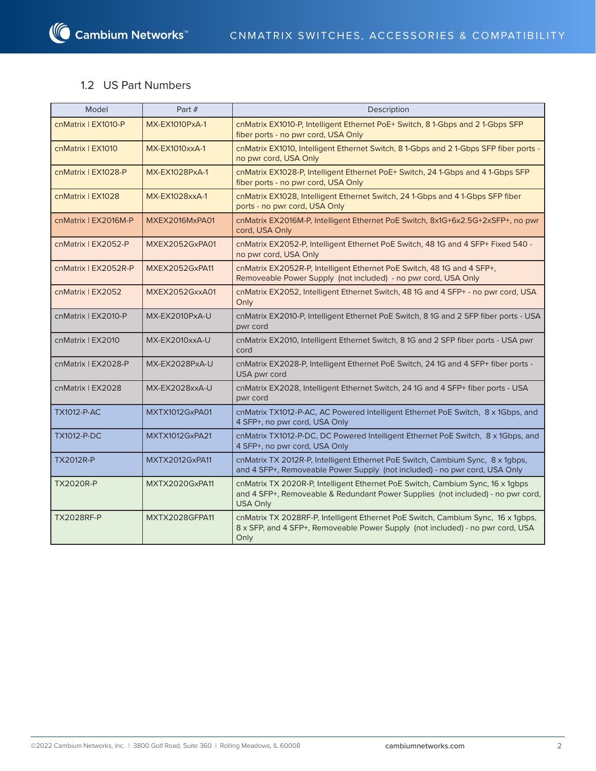**△ Cambium Networks**™

### 1.2 US Part Numbers

| Model                | Part #                | Description                                                                                                                                                                          |  |  |  |
|----------------------|-----------------------|--------------------------------------------------------------------------------------------------------------------------------------------------------------------------------------|--|--|--|
| cnMatrix   EX1010-P  | <b>MX-EX1010PxA-1</b> | cnMatrix EX1010-P, Intelligent Ethernet PoE+ Switch, 8 1-Gbps and 2 1-Gbps SFP<br>fiber ports - no pwr cord, USA Only                                                                |  |  |  |
| cnMatrix   EX1010    | MX-EX1010xxA-1        | cnMatrix EX1010, Intelligent Ethernet Switch, 8 1-Gbps and 2 1-Gbps SFP fiber ports -<br>no pwr cord, USA Only                                                                       |  |  |  |
| cnMatrix   EX1028-P  | MX-EX1028PxA-1        | cnMatrix EX1028-P, Intelligent Ethernet PoE+ Switch, 24 1-Gbps and 4 1-Gbps SFP<br>fiber ports - no pwr cord, USA Only                                                               |  |  |  |
| cnMatrix   EX1028    | MX-EX1028xxA-1        | cnMatrix EX1028, Intelligent Ethernet Switch, 24 1-Gbps and 4 1-Gbps SFP fiber<br>ports - no pwr cord, USA Only                                                                      |  |  |  |
| cnMatrix   EX2016M-P | MXEX2016MxPA01        | cnMatrix EX2016M-P, Intelligent Ethernet PoE Switch, 8x1G+6x2.5G+2xSFP+, no pwr<br>cord, USA Only                                                                                    |  |  |  |
| cnMatrix   EX2052-P  | MXEX2052GxPA01        | cnMatrix EX2052-P, Intelligent Ethernet PoE Switch, 48 1G and 4 SFP+ Fixed 540 -<br>no pwr cord, USA Only                                                                            |  |  |  |
| cnMatrix   EX2052R-P | MXEX2052GxPA11        | cnMatrix EX2052R-P, Intelligent Ethernet PoE Switch, 48 1G and 4 SFP+,<br>Removeable Power Supply (not included) - no pwr cord, USA Only                                             |  |  |  |
| cnMatrix   EX2052    | MXEX2052GxxA01        | cnMatrix EX2052, Intelligent Ethernet Switch, 48 1G and 4 SFP+ - no pwr cord, USA<br>Only                                                                                            |  |  |  |
| cnMatrix   EX2010-P  | MX-EX2010PxA-U        | cnMatrix EX2010-P, Intelligent Ethernet PoE Switch, 8 1G and 2 SFP fiber ports - USA<br>pwr cord                                                                                     |  |  |  |
| cnMatrix   EX2010    | MX-EX2010xxA-U        | cnMatrix EX2010, Intelligent Ethernet Switch, 8 1G and 2 SFP fiber ports - USA pwr<br>cord                                                                                           |  |  |  |
| cnMatrix   EX2028-P  | MX-EX2028PxA-U        | cnMatrix EX2028-P, Intelligent Ethernet PoE Switch, 24 1G and 4 SFP+ fiber ports -<br>USA pwr cord                                                                                   |  |  |  |
| cnMatrix   EX2028    | MX-EX2028xxA-U        | cnMatrix EX2028, Intelligent Ethernet Switch, 24 1G and 4 SFP+ fiber ports - USA<br>pwr cord                                                                                         |  |  |  |
| <b>TX1012-P-AC</b>   | MXTX1012GxPA01        | cnMatrix TX1012-P-AC, AC Powered Intelligent Ethernet PoE Switch, 8 x 1Gbps, and<br>4 SFP+, no pwr cord, USA Only                                                                    |  |  |  |
| <b>TX1012-P-DC</b>   | MXTX1012GxPA21        | cnMatrix TX1012-P-DC, DC Powered Intelligent Ethernet PoE Switch, 8 x 1Gbps, and<br>4 SFP+, no pwr cord, USA Only                                                                    |  |  |  |
| <b>TX2012R-P</b>     | MXTX2012GxPA11        | cnMatrix TX 2012R-P, Intelligent Ethernet PoE Switch, Cambium Sync, 8 x 1gbps,<br>and 4 SFP+, Removeable Power Supply (not included) - no pwr cord, USA Only                         |  |  |  |
| <b>TX2020R-P</b>     | MXTX2020GxPA11        | cnMatrix TX 2020R-P, Intelligent Ethernet PoE Switch, Cambium Sync, 16 x 1qbps<br>and 4 SFP+, Removeable & Redundant Power Supplies (not included) - no pwr cord,<br><b>USA Only</b> |  |  |  |
| <b>TX2028RF-P</b>    | MXTX2028GFPA11        | cnMatrix TX 2028RF-P, Intelligent Ethernet PoE Switch, Cambium Sync, 16 x 1gbps,<br>8 x SFP, and 4 SFP+, Removeable Power Supply (not included) - no pwr cord, USA<br>Only           |  |  |  |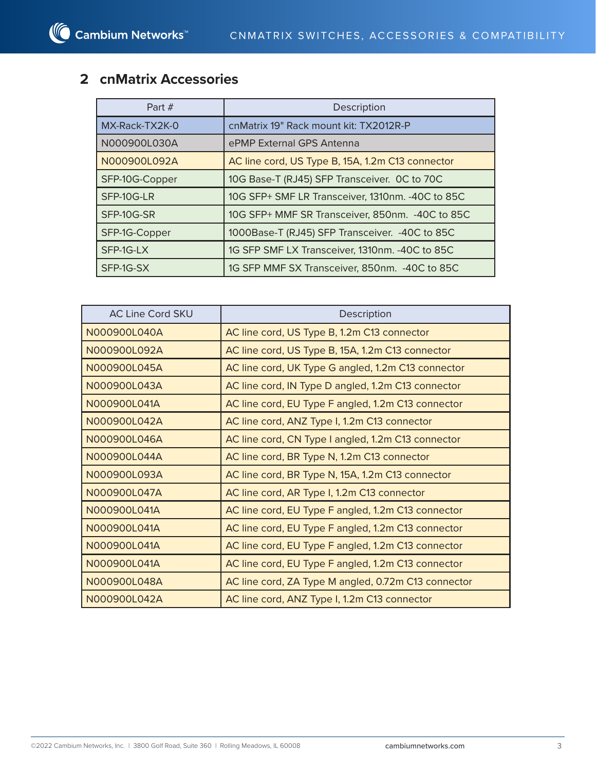## **2 cnMatrix Accessories**

| Part $#$       | Description                                       |  |  |  |
|----------------|---------------------------------------------------|--|--|--|
| MX-Rack-TX2K-0 | cnMatrix 19" Rack mount kit: TX2012R-P            |  |  |  |
| N000900L030A   | ePMP External GPS Antenna                         |  |  |  |
| N000900L092A   | AC line cord, US Type B, 15A, 1.2m C13 connector  |  |  |  |
| SFP-10G-Copper | 10G Base-T (RJ45) SFP Transceiver. OC to 70C      |  |  |  |
| SFP-10G-LR     | 10G SFP+ SMF LR Transceiver, 1310nm. - 40C to 85C |  |  |  |
| SFP-10G-SR     | 10G SFP+ MMF SR Transceiver, 850nm. - 40C to 85C  |  |  |  |
| SFP-1G-Copper  | 1000Base-T (RJ45) SFP Transceiver. - 40C to 85C   |  |  |  |
| SFP-1G-LX      | 1G SFP SMF LX Transceiver, 1310nm. - 40C to 85C   |  |  |  |
| SFP-1G-SX      | 1G SFP MMF SX Transceiver, 850nm. - 40C to 85C    |  |  |  |

| <b>AC Line Cord SKU</b> | Description                                         |
|-------------------------|-----------------------------------------------------|
| N000900L040A            | AC line cord, US Type B, 1.2m C13 connector         |
| N000900L092A            | AC line cord, US Type B, 15A, 1.2m C13 connector    |
| N000900L045A            | AC line cord, UK Type G angled, 1.2m C13 connector  |
| N000900L043A            | AC line cord, IN Type D angled, 1.2m C13 connector  |
| N000900L041A            | AC line cord, EU Type F angled, 1.2m C13 connector  |
| N000900L042A            | AC line cord, ANZ Type I, 1.2m C13 connector        |
| N000900L046A            | AC line cord, CN Type I angled, 1.2m C13 connector  |
| N000900L044A            | AC line cord, BR Type N, 1.2m C13 connector         |
| N000900L093A            | AC line cord, BR Type N, 15A, 1.2m C13 connector    |
| N000900L047A            | AC line cord, AR Type I, 1.2m C13 connector         |
| N000900L041A            | AC line cord, EU Type F angled, 1.2m C13 connector  |
| N000900L041A            | AC line cord, EU Type F angled, 1.2m C13 connector  |
| N000900L041A            | AC line cord, EU Type F angled, 1.2m C13 connector  |
| N000900L041A            | AC line cord, EU Type F angled, 1.2m C13 connector  |
| N000900L048A            | AC line cord, ZA Type M angled, 0.72m C13 connector |
| N000900L042A            | AC line cord, ANZ Type I, 1.2m C13 connector        |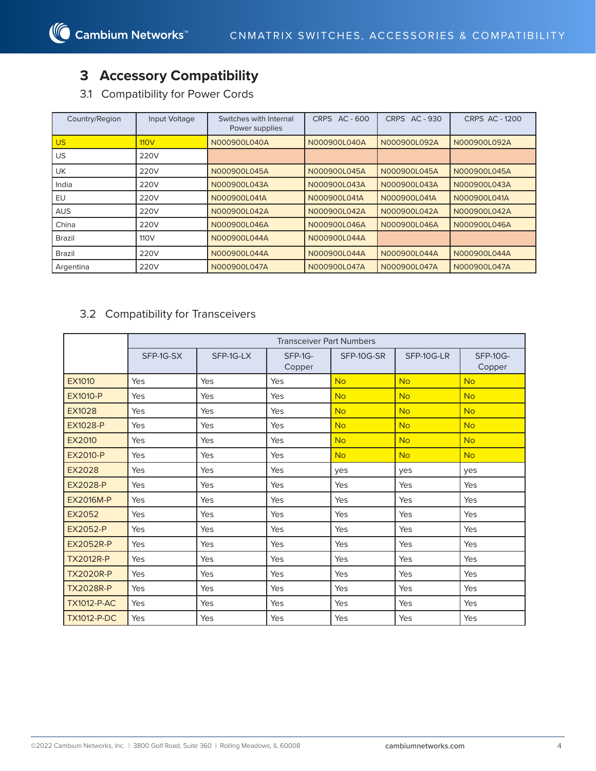## **3 Accessory Compatibility**

3.1 Compatibility for Power Cords

| Country/Region | Input Voltage    | Switches with Internal<br>Power supplies | CRPS AC - 600 | CRPS AC - 930 | <b>CRPS AC - 1200</b> |
|----------------|------------------|------------------------------------------|---------------|---------------|-----------------------|
| <b>US</b>      | 110V             | N000900L040A                             | N000900L040A  | N000900L092A  | N000900L092A          |
| US             | 220V             |                                          |               |               |                       |
| <b>UK</b>      | 220V             | N000900L045A                             | N000900L045A  | N000900L045A  | N000900L045A          |
| India          | 220V             | N000900L043A                             | N000900L043A  | N000900L043A  | N000900L043A          |
| EU             | 220V             | N000900L041A                             | N000900L041A  | N000900L041A  | N000900L041A          |
| <b>AUS</b>     | 220V             | N000900L042A                             | N000900L042A  | N000900L042A  | N000900L042A          |
| China          | 220V             | N000900L046A                             | N000900L046A  | N000900L046A  | N000900L046A          |
| <b>Brazil</b>  | 110 <sub>V</sub> | N000900L044A                             | N000900L044A  |               |                       |
| <b>Brazil</b>  | 220V             | N000900L044A                             | N000900L044A  | N000900L044A  | N000900L044A          |
| Argentina      | 220V             | N000900L047A                             | N000900L047A  | N000900L047A  | N000900L047A          |

### 3.2 Compatibility for Transceivers

|                    | <b>Transceiver Part Numbers</b> |           |                   |            |            |                           |  |  |
|--------------------|---------------------------------|-----------|-------------------|------------|------------|---------------------------|--|--|
|                    | SFP-1G-SX                       | SFP-1G-LX | SFP-1G-<br>Copper | SFP-10G-SR | SFP-10G-LR | <b>SFP-10G-</b><br>Copper |  |  |
| EX1010             | Yes                             | Yes       | Yes               | <b>No</b>  | <b>No</b>  | <b>No</b>                 |  |  |
| <b>EX1010-P</b>    | Yes                             | Yes       | Yes               | <b>No</b>  | <b>No</b>  | <b>No</b>                 |  |  |
| <b>EX1028</b>      | Yes                             | Yes       | Yes               | <b>No</b>  | <b>No</b>  | <b>No</b>                 |  |  |
| <b>EX1028-P</b>    | Yes                             | Yes       | Yes               | <b>No</b>  | <b>No</b>  | <b>No</b>                 |  |  |
| EX2010             | Yes                             | Yes       | Yes               | <b>No</b>  | <b>No</b>  | <b>No</b>                 |  |  |
| <b>EX2010-P</b>    | Yes                             | Yes       | Yes               | <b>No</b>  | <b>No</b>  | <b>No</b>                 |  |  |
| EX2028             | Yes                             | Yes       | Yes               | ves        | ves        | ves                       |  |  |
| <b>EX2028-P</b>    | Yes                             | Yes       | Yes               | Yes        | Yes        | Yes                       |  |  |
| <b>EX2016M-P</b>   | Yes                             | Yes       | Yes               | Yes        | Yes        | Yes                       |  |  |
| <b>EX2052</b>      | Yes                             | Yes       | Yes               | Yes        | Yes        | Yes                       |  |  |
| <b>EX2052-P</b>    | Yes                             | Yes       | Yes               | Yes        | Yes        | Yes                       |  |  |
| <b>EX2052R-P</b>   | Yes                             | Yes       | Yes               | Yes        | Yes        | Yes                       |  |  |
| <b>TX2012R-P</b>   | Yes                             | Yes       | Yes               | Yes        | Yes        | Yes                       |  |  |
| <b>TX2020R-P</b>   | Yes                             | Yes       | Yes               | Yes        | Yes        | Yes                       |  |  |
| <b>TX2028R-P</b>   | Yes                             | Yes       | Yes               | Yes        | Yes        | Yes                       |  |  |
| <b>TX1012-P-AC</b> | Yes                             | Yes       | Yes               | Yes        | Yes        | Yes                       |  |  |
| <b>TX1012-P-DC</b> | Yes                             | Yes       | Yes               | Yes        | Yes        | Yes                       |  |  |